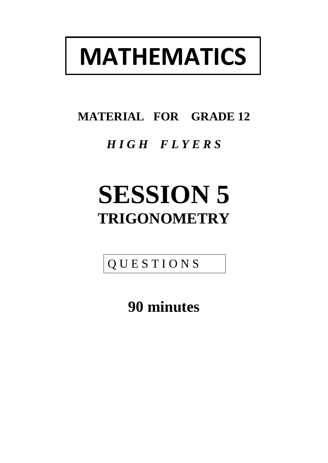# **MATHEMATICS**

## **MATERIAL FOR GRADE 12**

### *H I G H F L Y E R S*

## **SESSION 5 TRIGONOMETRY**

Q U E S T I O N S

**90 minutes**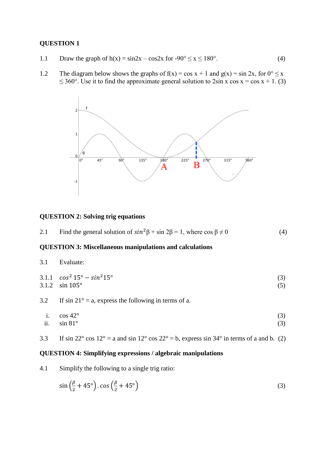#### **QUESTION 1**

- 1.1 Draw the graph of  $h(x) = \sin 2x \cos 2x$  for  $-90^\circ \le x \le 180^\circ$ . (4)
- 1.2 The diagram below shows the graphs of  $f(x) = \cos x + 1$  and  $g(x) = \sin 2x$ , for  $0^{\circ} \le x$ ≤ 360°. Use it to find the approximate general solution to  $2\sin x \cos x = \cos x + 1$ . (3)



#### **QUESTION 2: Solving trig equations**

|  | 2.1 | Find the general solution of $sin^2\beta + sin 2\beta = 1$ , where $cos \beta \neq 0$ | (4) |
|--|-----|---------------------------------------------------------------------------------------|-----|
|--|-----|---------------------------------------------------------------------------------------|-----|

#### **QUESTION 3: Miscellaneous manipulations and calculations**

 $3.1.1 \cos^2 15^\circ - \sin^2 15^\circ$  (3)

3.1.2  $\sin 105^\circ$  (5)

- 3.2 If  $\sin 21^\circ = a$ , express the following in terms of a.
	- i.  $\cos 42^\circ$  (3) ii.  $\sin 81^\circ$  (3)
- 3.3 If sin 22 $\degree$  cos 12 $\degree$  = a and sin 12 $\degree$  cos 22 $\degree$  = b, express sin 34 $\degree$  in terms of a and b. (2)

#### **QUESTION 4: Simplifying expressions / algebraic manipulations**

4.1 Simplify the following to a single trig ratio:

$$
\sin\left(\frac{\beta}{2} + 45^{\circ}\right) \cdot \cos\left(\frac{\beta}{2} + 45^{\circ}\right) \tag{3}
$$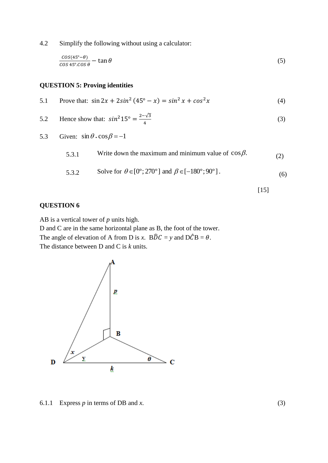4.2 Simplify the following without using a calculator:

$$
\frac{\cos(45^\circ - \theta)}{\cos 45^\circ \cdot \cos \theta} - \tan \theta \tag{5}
$$

#### **QUESTION 5: Proving identities**

5.1 Prove that:  $\sin 2x + 2\sin^2 (45^\circ - x) = \sin^2 x + \cos^2 x$  (4)

5.2 Hence show that: 
$$
\sin^2 15^\circ = \frac{2-\sqrt{3}}{4}
$$
 (3)

5.3 Given:  $\sin \theta \cdot \cos \beta = -1$ 

| 5.3.1 | Write down the maximum and minimum value of $\cos \beta$ .                                   | (2) |
|-------|----------------------------------------------------------------------------------------------|-----|
| 5.3.2 | Solve for $\theta \in [0^{\circ}; 270^{\circ}]$ and $\beta \in [-180^{\circ}; 90^{\circ}]$ . | (6) |

$$
[15]
$$

#### **QUESTION 6**

AB is a vertical tower of *p* units high.

D and C are in the same horizontal plane as B, the foot of the tower. The angle of elevation of A from D is *x*.  $B\hat{D}C = y$  and  $D\hat{C}B = \theta$ .

The distance between D and C is *k* units.



6.1.1 Express  $p$  in terms of DB and  $x$ . (3)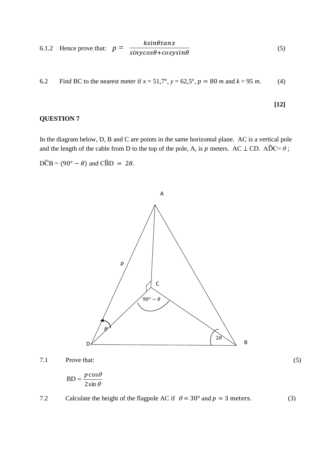6.1.2 Hence prove that: 
$$
p = \frac{k\sin\theta \tan x}{\sin y \cos \theta + \cos y \sin \theta}
$$
 (5)

6.2 Find BC to the nearest meter if  $x = 51,7^{\circ}$ ,  $y = 62,5^{\circ}$ ,  $p = 80$  *m* and  $k = 95$  *m*. (4)

$$
[12]
$$

(5)

#### **QUESTION 7**

In the diagram below, D, B and C are points in the same horizontal plane. AC is a vertical pole and the length of the cable from D to the top of the pole, A, is  $p$  meters. AC  $\perp$  CD. AD $\widehat{D}C = \theta$ ;

 $D\hat{C}B = (90^{\circ} - \theta)$  and  $C\hat{B}D = 2\theta$ .



7.1 Prove that:

$$
BD = \frac{p \cos \theta}{2 \sin \theta}
$$

7.2 Calculate the height of the flagpole AC if  $\theta = 30^{\circ}$  and  $p = 3$  meters. (3)